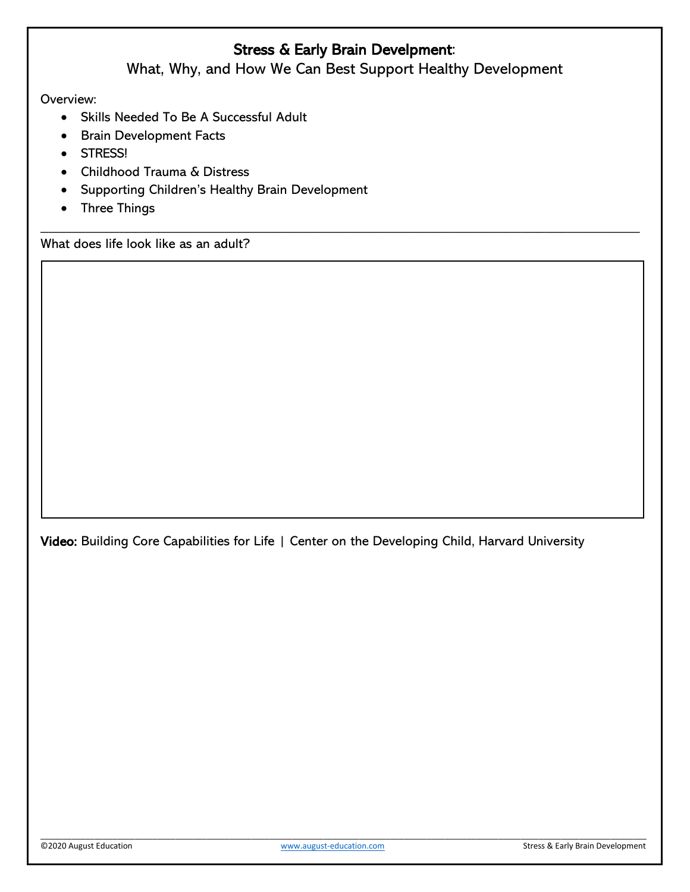# Stress & Early Brain Develpment:

What, Why, and How We Can Best Support Healthy Development

\_\_\_\_\_\_\_\_\_\_\_\_\_\_\_\_\_\_\_\_\_\_\_\_\_\_\_\_\_\_\_\_\_\_\_\_\_\_\_\_\_\_\_\_\_\_\_\_\_\_\_\_\_\_\_\_\_\_\_\_\_\_\_\_\_\_\_\_\_\_\_\_\_\_\_\_

Overview:

- Skills Needed To Be A Successful Adult
- Brain Development Facts
- STRESS!
- Childhood Trauma & Distress
- Supporting Children's Healthy Brain Development
- Three Things

What does life look like as an adult?

Video: Building Core Capabilities for Life | Center on the Developing Child, Harvard University

\_\_\_\_\_\_\_\_\_\_\_\_\_\_\_\_\_\_\_\_\_\_\_\_\_\_\_\_\_\_\_\_\_\_\_\_\_\_\_\_\_\_\_\_\_\_\_\_\_\_\_\_\_\_\_\_\_\_\_\_\_\_\_\_\_\_\_\_\_\_\_\_\_\_\_\_\_\_\_\_\_\_\_\_\_\_\_\_\_\_\_\_\_\_\_\_\_\_\_\_\_\_\_\_\_\_\_\_\_\_\_\_\_\_\_\_\_\_\_\_\_\_\_\_\_\_\_\_\_\_\_\_\_\_\_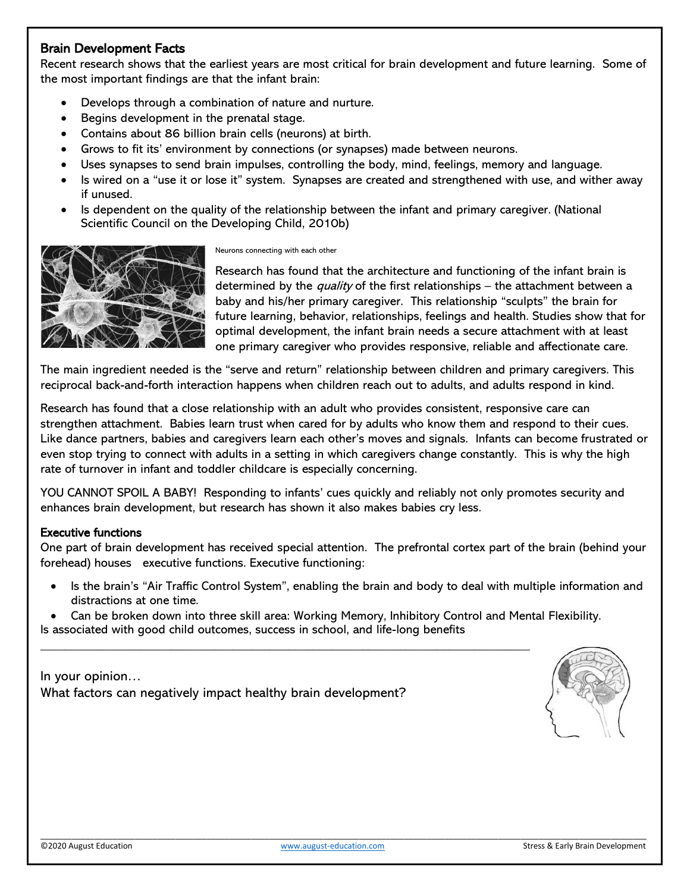# Brain Development Facts

Recent research shows that the earliest years are most critical for brain development and future learning. Some of the most important findings are that the infant brain:

- Develops through a combination of nature and nurture.
- Begins development in the prenatal stage.
- Contains about 86 billion brain cells (neurons) at birth.
- Grows to fit its' environment by connections (or synapses) made between neurons.
- Uses synapses to send brain impulses, controlling the body, mind, feelings, memory and language.
- Is wired on a "use it or lose it" system. Synapses are created and strengthened with use, and wither away if unused.
- Is dependent on the quality of the relationship between the infant and primary caregiver. (National Scientific Council on the Developing Child, 2010b)



Neurons connecting with each other

Research has found that the architecture and functioning of the infant brain is determined by the *quality* of the first relationships – the attachment between a baby and his/her primary caregiver. This relationship "sculpts" the brain for future learning, behavior, relationships, feelings and health. Studies show that for optimal development, the infant brain needs a secure attachment with at least one primary caregiver who provides responsive, reliable and affectionate care.

The main ingredient needed is the "serve and return" relationship between children and primary caregivers. This reciprocal back-and-forth interaction happens when children reach out to adults, and adults respond in kind.

Research has found that a close relationship with an adult who provides consistent, responsive care can strengthen attachment. Babies learn trust when cared for by adults who know them and respond to their cues. Like dance partners, babies and caregivers learn each other's moves and signals. Infants can become frustrated or even stop trying to connect with adults in a setting in which caregivers change constantly. This is why the high rate of turnover in infant and toddler childcare is especially concerning.

YOU CANNOT SPOIL A BABY! Responding to infants' cues quickly and reliably not only promotes security and enhances brain development, but research has shown it also makes babies cry less.

#### Executive functions

One part of brain development has received special attention. The prefrontal cortex part of the brain (behind your forehead) houses executive functions. Executive functioning:

- Is the brain's "Air Traffic Control System", enabling the brain and body to deal with multiple information and distractions at one time.
- Can be broken down into three skill area: Working Memory, Inhibitory Control and Mental Flexibility. Is associated with good child outcomes, success in school, and life-long benefits

\_\_\_\_\_\_\_\_\_\_\_\_\_\_\_\_\_\_\_\_\_\_\_\_\_\_\_\_\_\_\_\_\_\_\_\_\_\_\_\_\_\_\_\_\_\_\_\_\_\_\_\_\_\_\_\_\_\_\_\_\_\_\_\_\_\_\_\_\_\_\_\_\_\_\_\_\_\_\_

In your opinion… What factors can negatively impact healthy brain development?



\_\_\_\_\_\_\_\_\_\_\_\_\_\_\_\_\_\_\_\_\_\_\_\_\_\_\_\_\_\_\_\_\_\_\_\_\_\_\_\_\_\_\_\_\_\_\_\_\_\_\_\_\_\_\_\_\_\_\_\_\_\_\_\_\_\_\_\_\_\_\_\_\_\_\_\_\_\_\_\_\_\_\_\_\_\_\_\_\_\_\_\_\_\_\_\_\_\_\_\_\_\_\_\_\_\_\_\_\_\_\_\_\_\_\_\_\_\_\_\_\_\_\_\_\_\_\_\_\_\_\_\_\_\_\_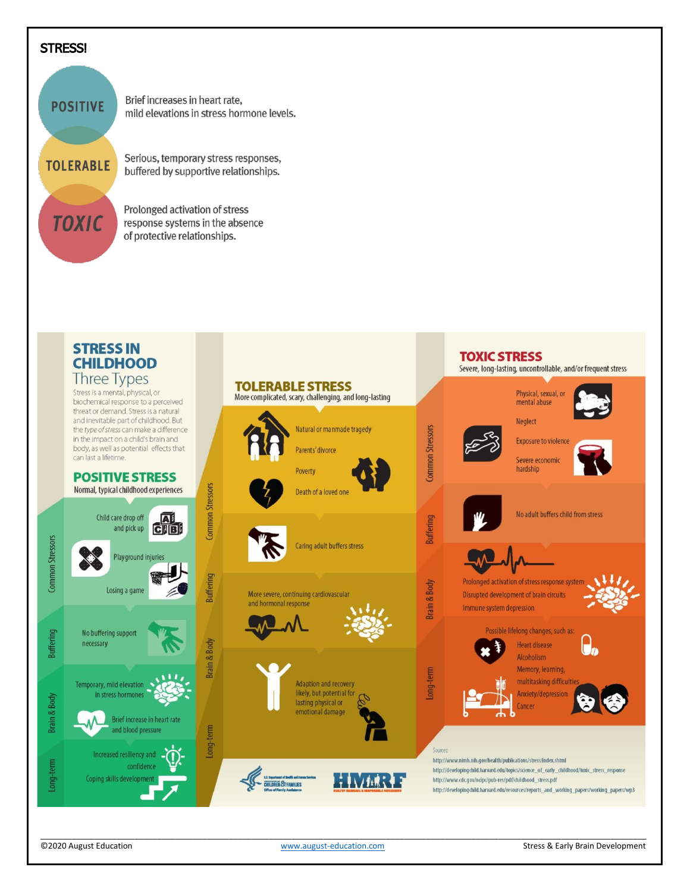## **STRESS!**





©2020 August Education [www.august-education.com](http://www.august-education.com/) Stress & Early Brain Development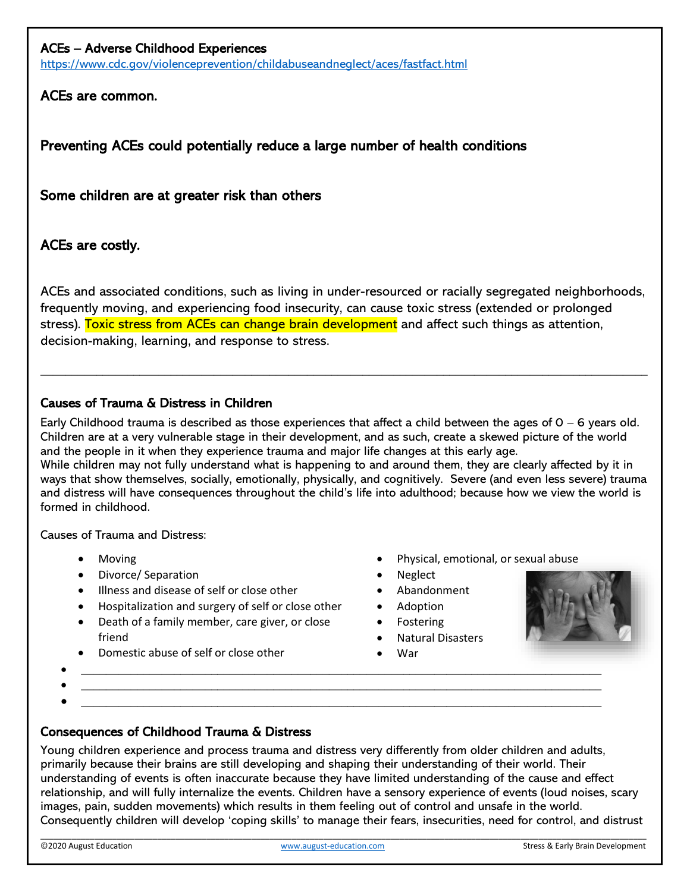### ACEs – Adverse Childhood Experiences

<https://www.cdc.gov/violenceprevention/childabuseandneglect/aces/fastfact.html>

# ACEs are common.

Preventing ACEs could potentially reduce a large number of health conditions

Some children are at greater risk than others

# ACEs are costly.

ACEs and associated conditions, such as living in under-resourced or racially segregated neighborhoods, frequently moving, and experiencing food insecurity, can cause toxic stress (extended or prolonged stress). Toxic stress from ACEs can change brain development and affect such things as attention, decision-making, learning, and response to stress.

 $\_$  , and the set of the set of the set of the set of the set of the set of the set of the set of the set of the set of the set of the set of the set of the set of the set of the set of the set of the set of the set of th

### Causes of Trauma & Distress in Children

Early Childhood trauma is described as those experiences that affect a child between the ages of  $0 - 6$  years old. Children are at a very vulnerable stage in their development, and as such, create a skewed picture of the world and the people in it when they experience trauma and major life changes at this early age. While children may not fully understand what is happening to and around them, they are clearly affected by it in ways that show themselves, socially, emotionally, physically, and cognitively. Severe (and even less severe) trauma and distress will have consequences throughout the child's life into adulthood; because how we view the world is

Causes of Trauma and Distress:

• Moving

formed in childhood.

- Divorce/ Separation
- Illness and disease of self or close other
- Hospitalization and surgery of self or close other
- Death of a family member, care giver, or close friend
- Domestic abuse of self or close other

• Neglect • Abandonment

• Physical, emotional, or sexual abuse

- 
- Adoption
- Fostering
- Natural Disasters
- War



 $\bullet$   $\hspace{0.2cm}$   $\hspace{0.2cm}$   $\hspace{0.2cm}$   $\hspace{0.2cm}$   $\hspace{0.2cm}$   $\hspace{0.2cm}$   $\hspace{0.2cm}$   $\hspace{0.2cm}$   $\hspace{0.2cm}$   $\hspace{0.2cm}$   $\hspace{0.2cm}$   $\hspace{0.2cm}$   $\hspace{0.2cm}$   $\hspace{0.2cm}$   $\hspace{0.2cm}$   $\hspace{0.2cm}$   $\hspace{0.2cm}$   $\hspace{0.2cm}$   $\bullet$   $\hspace{0.2cm}$   $\hspace{0.2cm}$   $\hspace{0.2cm}$   $\hspace{0.2cm}$   $\hspace{0.2cm}$   $\hspace{0.2cm}$   $\hspace{0.2cm}$   $\hspace{0.2cm}$   $\hspace{0.2cm}$   $\hspace{0.2cm}$   $\hspace{0.2cm}$   $\hspace{0.2cm}$   $\hspace{0.2cm}$   $\hspace{0.2cm}$   $\hspace{0.2cm}$   $\hspace{0.2cm}$   $\hspace{0.2cm}$   $\hspace{0.2cm}$ 

# Consequences of Childhood Trauma & Distress

Young children experience and process trauma and distress very differently from older children and adults, primarily because their brains are still developing and shaping their understanding of their world. Their understanding of events is often inaccurate because they have limited understanding of the cause and effect relationship, and will fully internalize the events. Children have a sensory experience of events (loud noises, scary images, pain, sudden movements) which results in them feeling out of control and unsafe in the world. Consequently children will develop 'coping skills' to manage their fears, insecurities, need for control, and distrust

•  $\hspace{0.5cm}$   $\hspace{0.5cm}$   $\hspace{0.5cm}$   $\hspace{0.5cm}$   $\hspace{0.5cm}$   $\hspace{0.5cm}$   $\hspace{0.5cm}$   $\hspace{0.5cm}$   $\hspace{0.5cm}$   $\hspace{0.5cm}$   $\hspace{0.5cm}$   $\hspace{0.5cm}$   $\hspace{0.5cm}$   $\hspace{0.5cm}$   $\hspace{0.5cm}$   $\hspace{0.5cm}$   $\hspace{0.5cm}$   $\hspace{0.5cm}$   $\hs$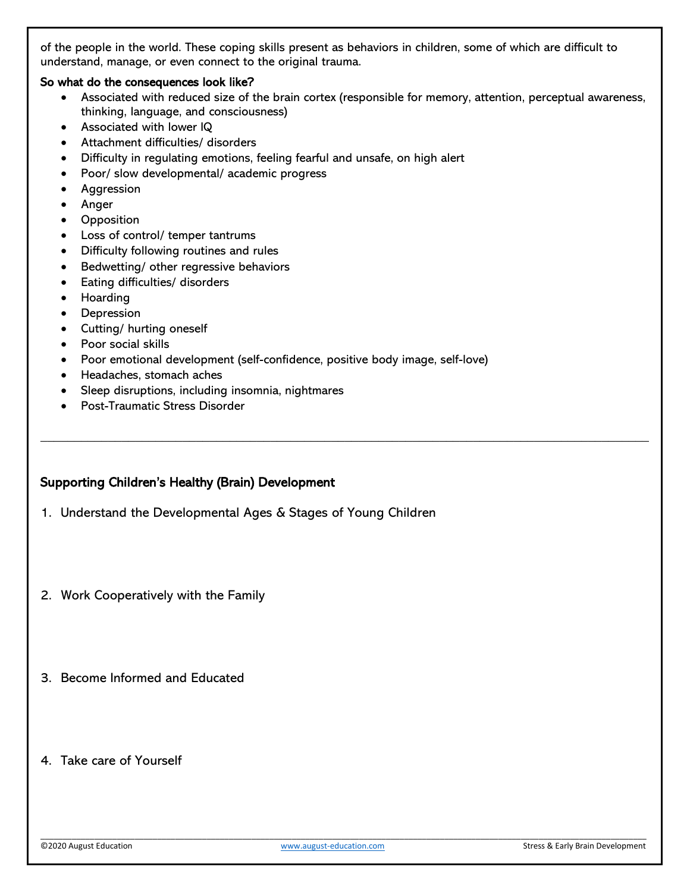of the people in the world. These coping skills present as behaviors in children, some of which are difficult to understand, manage, or even connect to the original trauma.

#### So what do the consequences look like?

• Associated with reduced size of the brain cortex (responsible for memory, attention, perceptual awareness, thinking, language, and consciousness)

 $\_$  , and the set of the set of the set of the set of the set of the set of the set of the set of the set of the set of the set of the set of the set of the set of the set of the set of the set of the set of the set of th

- Associated with lower IQ
- Attachment difficulties/ disorders
- Difficulty in regulating emotions, feeling fearful and unsafe, on high alert
- Poor/ slow developmental/ academic progress
- Aggression
- Anger
- Opposition
- Loss of control/ temper tantrums
- Difficulty following routines and rules
- Bedwetting/ other regressive behaviors
- Eating difficulties/ disorders
- Hoarding
- Depression
- Cutting/ hurting oneself
- Poor social skills
- Poor emotional development (self-confidence, positive body image, self-love)
- Headaches, stomach aches
- Sleep disruptions, including insomnia, nightmares
- Post-Traumatic Stress Disorder

#### Supporting Children's Healthy (Brain) Development

- 1. Understand the Developmental Ages & Stages of Young Children
- 2. Work Cooperatively with the Family
- 3. Become Informed and Educated
- 4. Take care of Yourself

\_\_\_\_\_\_\_\_\_\_\_\_\_\_\_\_\_\_\_\_\_\_\_\_\_\_\_\_\_\_\_\_\_\_\_\_\_\_\_\_\_\_\_\_\_\_\_\_\_\_\_\_\_\_\_\_\_\_\_\_\_\_\_\_\_\_\_\_\_\_\_\_\_\_\_\_\_\_\_\_\_\_\_\_\_\_\_\_\_\_\_\_\_\_\_\_\_\_\_\_\_\_\_\_\_\_\_\_\_\_\_\_\_\_\_\_\_\_\_\_\_\_\_\_\_\_\_\_\_\_\_\_\_\_\_